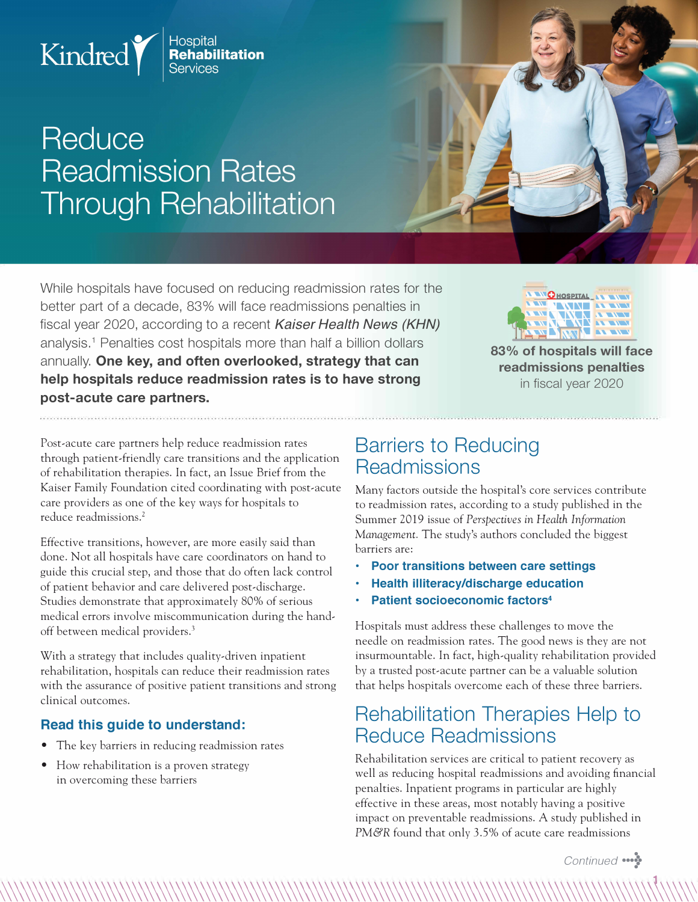

# Reduce **Readmission Rates Through Rehabilitation**

While hospitals have focused on reducing readmission rates for the better part of a decade, 83% will face readmissions penalties in fiscal year 2020, according to a recent *Kaiser Health News (KHN)*  analysis.<sup>1</sup> Penalties cost hospitals more than half a billion dollars annually. **One key, and often overlooked, strategy that can help hospitals reduce readmission rates is to have strong post-acute care partners.** 



**83% of hospitals will face readmissions penalties**  in fiscal year 2020

Post-acute care partners help reduce readmission rates through patient-friendly care transitions and the application *of* rehabilitation therapies. In fact, an Issue Brief from the Kaiser Family Foundation cited coordinating with post-acute care providers as one *of* the key ways for hospitals to reduce readmissions. <sup>2</sup>

Effective transitions, however, are more easily said than done. Not all hospitals have care coordinators on hand to guide this crucial step, and those that do often lack control *of* patient behavior and care delivered post-discharge. Studies demonstrate that approximately 80% *of* serious medical errors involve miscommunication during the handoff between medical providers.<sup>3</sup>

With a strategy that includes quality-driven inpatient rehabilitation, hospitals can reduce their readmission rates with the assurance *of* positive patient transitions and strong clinical outcomes.

#### **Read this guide to understand:**

- The key barriers in reducing readmission rates
- How rehabilitation is a proven strategy in overcoming these barriers

### **Barriers to Reducing Readmissions**

Many factors outside the hospital's core services contribute to readmission rates, according to a study published in the Summer 2019 issue *of Perspectives in Health Information Management.* The study's authors concluded the biggest barriers are:

- **Poor transitions between care settings**
- **Health illiteracy/discharge education**
- **Patient socioeconomic factors<sup>4</sup>**

�\\\\\\\\\\\\\\\\\\\\\\\\\\\\\\\\\\\\\\\\\\\\\\\\\\\\\\\\\\\\\\\\\\\\\\\\\\\\\\\\\\\\\\\\\\\\\\\\\\\\\\\\\\\\\�

Hospitals must address these challenges to move the needle on readmission rates. The good news is they are not insurmountable. In fact, high-quality rehabilitation provided by a trusted post-acute partner can be a valuable solution that helps hospitals overcome each *of* these three barriers.

#### **Rehabilitation Therapies Help to Reduce Readmissions**

Rehabilitation services are critical to patient recovery as well as reducing hospital readmissions and avoiding financial penalties. Inpatient programs in particular are highly effective in these areas, most notably having a positive impact on preventable readmissions. A study published in PM&R found that only 3.5% *of* acute care readmissions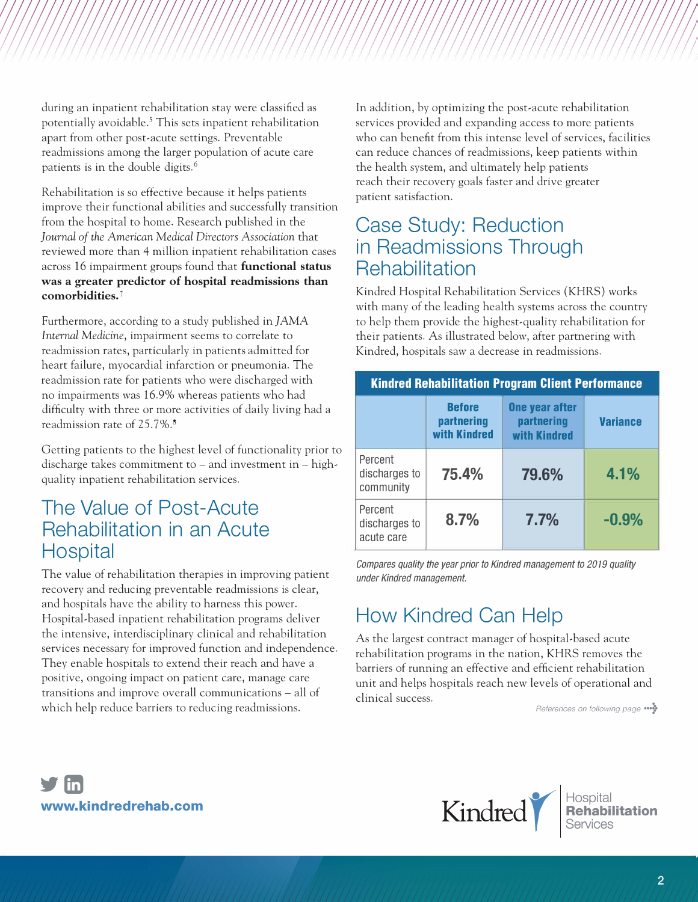during an inpatient rehabilitation stay were classified as potentially avoidable.5 This sets inpatient rehabilitation apart from other post-acute settings. Preventable readmissions among the larger population of acute care patients is in the double digits. <sup>6</sup>

Rehabilitation is so effective because it helps patients improve their functional abilities and successfully transition from the hospital to home. Research published in the Journal of the American Medical Directors Association that reviewed more than 4 million inpatient rehabilitation cases across 16 impairment groups found that **functional status was a greater predictor of hospital readmissions than comorbidities.** 

Furthermore, according to a study published in JAMA *Internal Medicine,* impairment seems to correlate to readmission rates, particularly in patients admitted for heart failure, myocardial infarction or pneumonia. The readmission rate for patients who were discharged with no impairments was 16.9% whereas patients who had difficulty with three or more activities of daily living had a readmission rate of 25. 7%.<sup>8</sup>

Getting patients to the highest level of functionality prior to discharge takes commitment to  $-$  and investment in  $-$  highquality inpatient rehabilitation services.

#### The Value of Post-Acute Rehabilitation in an Acute **Hospital**

The value of rehabilitation therapies in improving patient recovery and reducing preventable readmissions is clear, and hospitals have the ability to harness this power. Hospital-based inpatient rehabilitation programs deliver the intensive, interdisciplinary clinical and rehabilitation services necessary for improved function and independence. They enable hospitals to extend their reach and have a positive, ongoing impact on patient care, manage care transitions and improve overall communications - all of which help reduce barriers to reducing readmissions.

In addition, by optimizing the post-acute rehabilitation services provided and expanding access to more patients who can benefit from this intense level of services, facilities can reduce chances of readmissions, keep patients within the health system, and ultimately help patients reach their recovery goals faster and drive greater patient satisfaction.

#### Case Study: Reduction in Readmissions Through **Rehabilitation**

Kindred Hospital Rehabilitation Services (KHRS) works with many of the leading health systems across the country to help them provide the highest-quality rehabilitation for their patients. As illustrated below, after partnering with Kindred, hospitals saw a decrease in readmissions.

| <b>Kindred Rehabilitation Program Client Performance</b> |                                             |                                                     |                 |
|----------------------------------------------------------|---------------------------------------------|-----------------------------------------------------|-----------------|
|                                                          | <b>Before</b><br>partnering<br>with Kindred | <b>One year after</b><br>partnering<br>with Kindred | <b>Variance</b> |
| Percent<br>discharges to<br>community                    | 75.4%                                       | 79.6%                                               | 4.1%            |
| Percent<br>discharges to<br>acute care                   | 8.7%                                        | 7.7%                                                | $-0.9%$         |

*Compares quality the year prior to Kindred management to 2019 quality under Kindred management.* 

## How Kindred Can Help

As the largest contract manager of hospital-based acute rehabilitation programs in the nation, KHRS removes the barriers of running an effective and efficient rehabilitation unit and helps hospitals reach new levels of operational and clinical success.

*References on following page ... �*